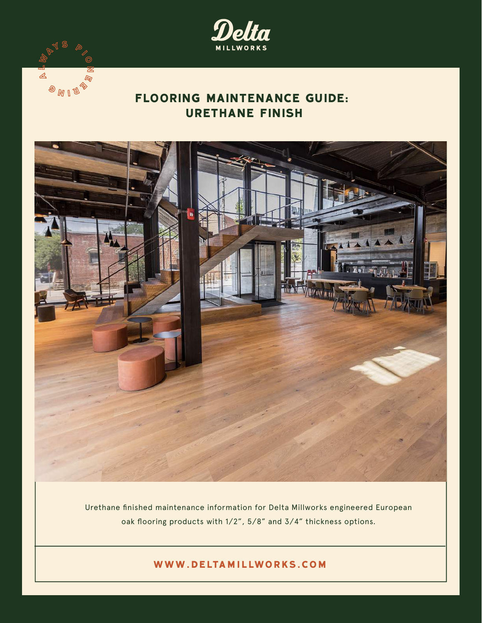

# **FLOORING MAINTENANCE GUIDE: URETHANE FINISH**

 $\triangle$ 

 $\mathcal{D}_{\text{M}}$   $\mathbb{C}$ 



Urethane finished maintenance information for Delta Millworks engineered European oak flooring products with 1/2", 5/8" and 3/4" thickness options.

**www.deltamillworks.com**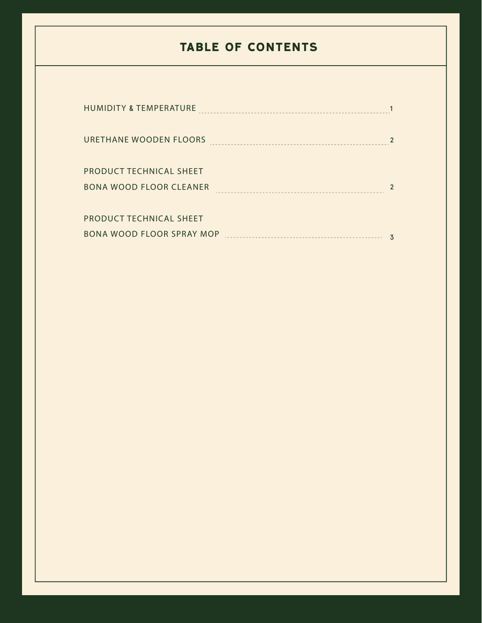# **TABLE OF CONTENTS**

| <b>HUMIDITY &amp; TEMPERATURE</b> |               |
|-----------------------------------|---------------|
|                                   |               |
| URETHANE WOODEN FLOORS            |               |
|                                   |               |
| <b>PRODUCT TECHNICAL SHEET</b>    |               |
| <b>BONA WOOD FLOOR CLEANER</b>    | $\mathcal{P}$ |
|                                   |               |
| PRODUCT TECHNICAL SHEET           |               |
| <b>BONA WOOD FLOOR SPRAY MOP</b>  | 3             |
|                                   |               |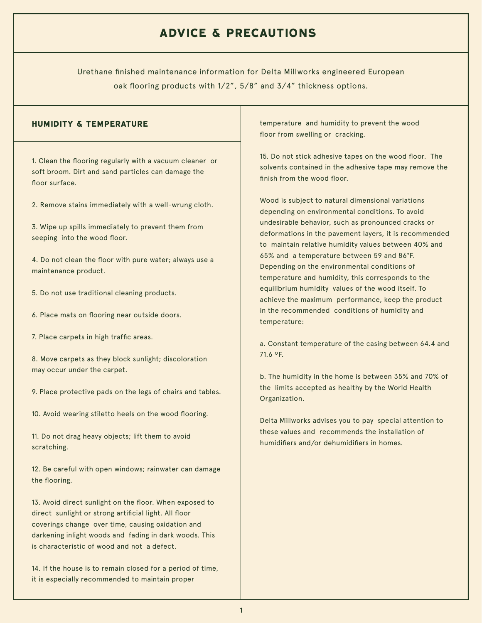## **ADVICE & PRECAUTIONS**

Urethane finished maintenance information for Delta Millworks engineered European oak flooring products with 1/2", 5/8" and 3/4" thickness options.

1. Clean the flooring regularly with a vacuum cleaner or soft broom. Dirt and sand particles can damage the floor surface.

2. Remove stains immediately with a well-wrung cloth.

3. Wipe up spills immediately to prevent them from seeping into the wood floor.

4. Do not clean the floor with pure water; always use a maintenance product.

- 5. Do not use traditional cleaning products.
- 6. Place mats on flooring near outside doors.
- 7. Place carpets in high traffic areas.

8. Move carpets as they block sunlight; discoloration may occur under the carpet.

9. Place protective pads on the legs of chairs and tables.

10. Avoid wearing stiletto heels on the wood flooring.

11. Do not drag heavy objects; lift them to avoid scratching.

12. Be careful with open windows; rainwater can damage the flooring.

13. Avoid direct sunlight on the floor. When exposed to direct sunlight or strong artificial light. All floor coverings change over time, causing oxidation and darkening inlight woods and fading in dark woods. This is characteristic of wood and not a defect.

14. If the house is to remain closed for a period of time, it is especially recommended to maintain proper

**HUMIDITY & TEMPERATURE temperature and humidity to prevent the wood** floor from swelling or cracking.

> 15. Do not stick adhesive tapes on the wood floor. The solvents contained in the adhesive tape may remove the finish from the wood floor.

> Wood is subject to natural dimensional variations depending on environmental conditions. To avoid undesirable behavior, such as pronounced cracks or deformations in the pavement layers, it is recommended to maintain relative humidity values between 40% and 65% and a temperature between 59 and 86°F. Depending on the environmental conditions of temperature and humidity, this corresponds to the equilibrium humidity values of the wood itself. To achieve the maximum performance, keep the product in the recommended conditions of humidity and temperature:

> a. Constant temperature of the casing between 64.4 and 71.6 ºF.

> b. The humidity in the home is between 35% and 70% of the limits accepted as healthy by the World Health Organization.

Delta Millworks advises you to pay special attention to these values and recommends the installation of humidifiers and/or dehumidifiers in homes.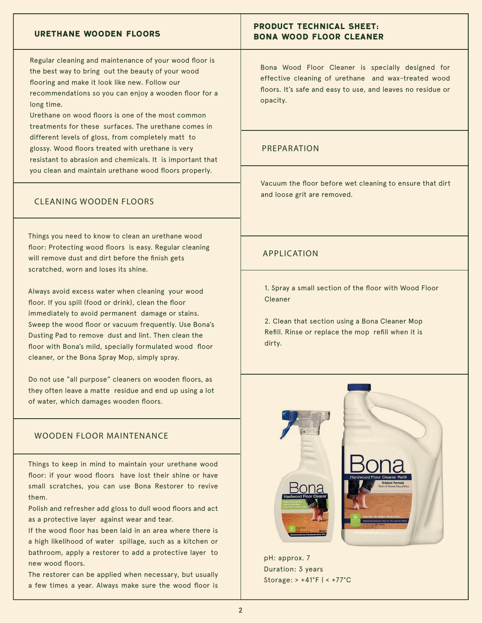#### **URETHANE WOODEN FLOORS**

Regular cleaning and maintenance of your wood floor is the best way to bring out the beauty of your wood flooring and make it look like new. Follow our recommendations so you can enjoy a wooden floor for a long time.

Urethane on wood floors is one of the most common treatments for these surfaces. The urethane comes in different levels of gloss, from completely matt to glossy. Wood floors treated with urethane is very resistant to abrasion and chemicals. It is important that you clean and maintain urethane wood floors properly.

#### CLEANING WOODEN FLOORS

Things you need to know to clean an urethane wood floor: Protecting wood floors is easy. Regular cleaning will remove dust and dirt before the finish gets scratched, worn and loses its shine.

Always avoid excess water when cleaning your wood floor. If you spill (food or drink), clean the floor immediately to avoid permanent damage or stains. Sweep the wood floor or vacuum frequently. Use Bona's Dusting Pad to remove dust and lint. Then clean the floor with Bona's mild, specially formulated wood floor cleaner, or the Bona Spray Mop, simply spray.

Do not use "all purpose" cleaners on wooden floors, as they often leave a matte residue and end up using a lot of water, which damages wooden floors.

#### WOODEN FLOOR MAINTENANCE

Things to keep in mind to maintain your urethane wood floor: if your wood floors have lost their shine or have small scratches, you can use Bona Restorer to revive them.

Polish and refresher add gloss to dull wood floors and act as a protective layer against wear and tear.

If the wood floor has been laid in an area where there is a high likelihood of water spillage, such as a kitchen or bathroom, apply a restorer to add a protective layer to new wood floors.

The restorer can be applied when necessary, but usually a few times a year. Always make sure the wood floor is

### **PRODUCT TECHNICAL SHEET: BONA WOOD FLOOR CLEANER**

Bona Wood Floor Cleaner is specially designed for effective cleaning of urethane and wax-treated wood floors. It's safe and easy to use, and leaves no residue or opacity.

#### PREPARATION

Vacuum the floor before wet cleaning to ensure that dirt and loose grit are removed.

#### APPLICATION

1. Spray a small section of the floor with Wood Floor Cleaner

2. Clean that section using a Bona Cleaner Mop Refill. Rinse or replace the mop refill when it is dirty.



pH: approx. 7 Duration: 3 years Storage: > +41°F | < +77°C